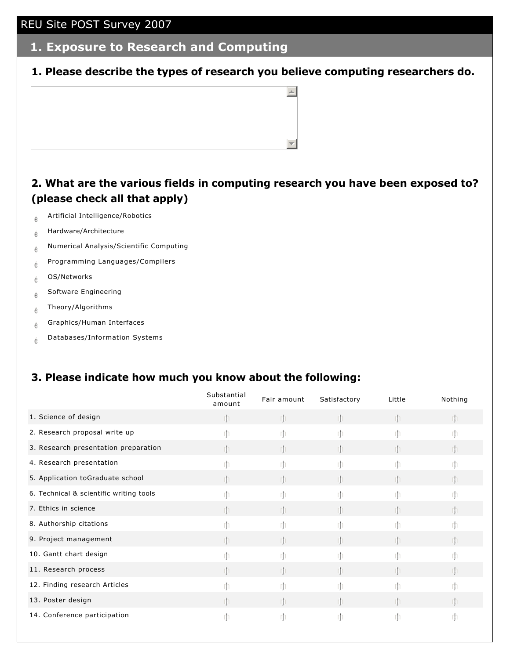#### **1. Exposure to Research and Computing**

**1. Please describe the types of research you believe computing researchers do.**



#### **2. What are the various fields in computing research you have been exposed to? (please check all that apply)**

- $\phi$  Artificial Intelligence/Robotics
- $e$  Hardware/Architecture
- $e$  Numerical Analysis/Scientific Computing
- $e^{\theta}$  Programming Languages/Compilers
- $e$  OS/Networks
- $\oint_{\mathbb{C}}$  Software Engineering
- $e^{\theta}$  Theory/Algorithms
- $e$  Graphics/Human Interfaces
- $_{\stackrel{\circ}{\mathbb C}}$  Databases/Information Systems

#### **3. Please indicate how much you know about the following:**

|                                         | Substantial<br>amount | Fair amount | Satisfactory | Little | Nothing |
|-----------------------------------------|-----------------------|-------------|--------------|--------|---------|
| 1. Science of design                    |                       |             | rh.          | rh     | rh      |
| 2. Research proposal write up           |                       |             | m            |        |         |
| 3. Research presentation preparation    |                       |             | m.           |        |         |
| 4. Research presentation                |                       |             |              |        |         |
| 5. Application toGraduate school        | -rh                   |             | rh.          | rh     |         |
| 6. Technical & scientific writing tools |                       |             |              |        |         |
| 7. Ethics in science                    |                       |             |              |        |         |
| 8. Authorship citations                 | rh                    | rh          | rh.          | m      |         |
| 9. Project management                   |                       |             |              |        |         |
| 10. Gantt chart design                  |                       |             |              |        |         |
| 11. Research process                    |                       |             |              |        |         |
| 12. Finding research Articles           |                       |             |              |        |         |
| 13. Poster design                       | -rh                   |             | rh.          | Th     |         |
| 14. Conference participation            |                       |             |              | Iţ     | rþ      |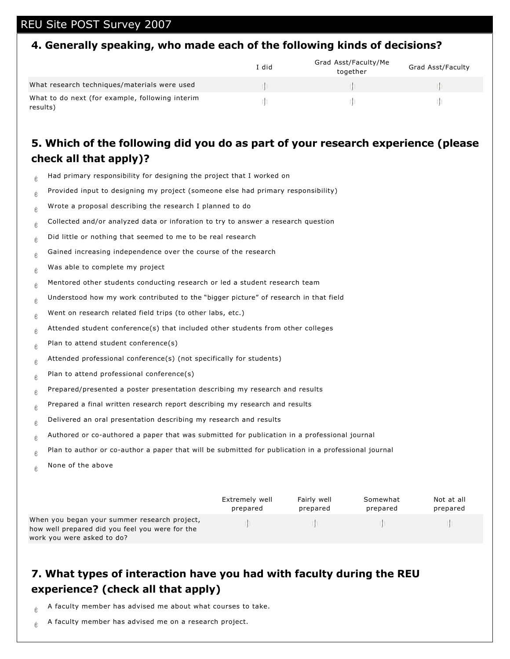#### **4. Generally speaking, who made each of the following kinds of decisions?**

|                                                             | I did | Grad Asst/Faculty/Me<br>together | <b>Grad Asst/Faculty</b> |
|-------------------------------------------------------------|-------|----------------------------------|--------------------------|
| What research techniques/materials were used                |       |                                  |                          |
| What to do next (for example, following interim<br>results) |       |                                  |                          |

## **5. Which of the following did you do as part of your research experience (please check all that apply)?**

- $\phi$  Had primary responsibility for designing the project that I worked on
- $e^{\phi}$  Provided input to designing my project (someone else had primary responsibility)
- $\phi$  Wrote a proposal describing the research I planned to do
- $\phi$  Collected and/or analyzed data or inforation to try to answer a research question
- $\phi$  Did little or nothing that seemed to me to be real research
- $\phi$  Gained increasing independence over the course of the research
- $\phi$  Was able to complete my project
- $\phi$  Mentored other students conducting research or led a student research team
- $\phi$  Understood how my work contributed to the "bigger picture" of research in that field
- $\phi$  Went on research related field trips (to other labs, etc.)
- $e^{\theta}$  Attended student conference(s) that included other students from other colleges
- $\phi$  Plan to attend student conference(s)
- $e$  Attended professional conference(s) (not specifically for students)
- $e$  Plan to attend professional conference(s)
- $e^e$  Prepared/presented a poster presentation describing my research and results
- $\frac{1}{6}$  Prepared a final written research report describing my research and results
- $\phi$  Delivered an oral presentation describing my research and results
- $\frac{1}{6}$  Authored or co-authored a paper that was submitted for publication in a professional journal
- $\frac{1}{6}$  Plan to author or co-author a paper that will be submitted for publication in a professional journal
- $\phi$  None of the above

|                                                                                                                               | Extremely well | Fairly well | Somewhat | Not at all |
|-------------------------------------------------------------------------------------------------------------------------------|----------------|-------------|----------|------------|
|                                                                                                                               | prepared       | prepared    | prepared | prepared   |
| When you began your summer research project,<br>how well prepared did you feel you were for the<br>work you were asked to do? |                |             |          |            |

## **7. What types of interaction have you had with faculty during the REU experience? (check all that apply)**

- $\phi$  A faculty member has advised me about what courses to take.
- $\phi$  A faculty member has advised me on a research project.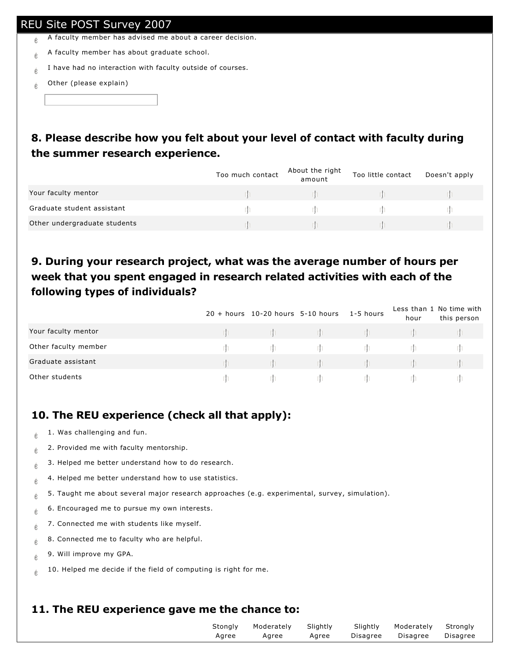- $\phi$  A faculty member has advised me about a career decision.
- $\phi$  A faculty member has about graduate school.
- $\phi$  I have had no interaction with faculty outside of courses.
- $\phi$  Other (please explain)

# **8. Please describe how you felt about your level of contact with faculty during the summer research experience.**

|                              | Too much contact | About the right<br>amount | Too little contact | Doesn't apply |
|------------------------------|------------------|---------------------------|--------------------|---------------|
| Your faculty mentor          |                  |                           |                    |               |
| Graduate student assistant   |                  |                           |                    |               |
| Other undergraduate students |                  |                           |                    |               |

## **9. During your research project, what was the average number of hours per week that you spent engaged in research related activities with each of the following types of individuals?**

|                      | $20 + hours$ 10-20 hours 5-10 hours | 1-5 hours | hour | Less than 1 No time with<br>this person |
|----------------------|-------------------------------------|-----------|------|-----------------------------------------|
| Your faculty mentor  |                                     |           |      |                                         |
| Other faculty member |                                     |           |      |                                         |
| Graduate assistant   |                                     |           |      |                                         |
| Other students       |                                     |           |      |                                         |

# **10. The REU experience (check all that apply):**

- $\phi$  1. Was challenging and fun.
- $\frac{1}{6}$  2. Provided me with faculty mentorship.
- $\frac{1}{6}$  3. Helped me better understand how to do research.
- $e^4$  4. Helped me better understand how to use statistics.
- $\frac{1}{6}$  5. Taught me about several major research approaches (e.g. experimental, survey, simulation).
- $\phi$  6. Encouraged me to pursue my own interests.
- $e^+$  7. Connected me with students like myself.
- $\phi$  8. Connected me to faculty who are helpful.
- $_{\textcircled{\tiny{\textcirc}}}$  9. Will improve my GPA.
- $\phi$  10. Helped me decide if the field of computing is right for me.

# **11. The REU experience gave me the chance to:**

| Moderately Slightly<br>Slightly Moderately<br>Stonaly<br>Disagree Disagree<br>Agree<br>Agree<br>Agree | Strongly<br>Disagree |
|-------------------------------------------------------------------------------------------------------|----------------------|
|-------------------------------------------------------------------------------------------------------|----------------------|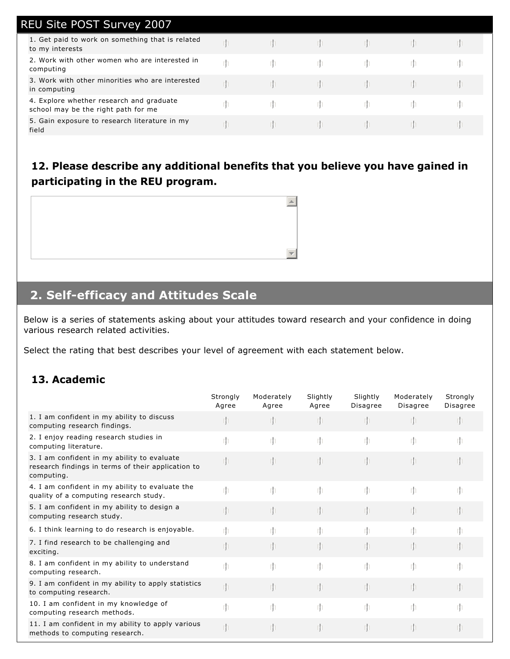| <b>REU Site POST Survey 2007</b>                                                |   |  |  |  |
|---------------------------------------------------------------------------------|---|--|--|--|
| 1. Get paid to work on something that is related<br>to my interests             |   |  |  |  |
| 2. Work with other women who are interested in<br>computing                     | m |  |  |  |
| 3. Work with other minorities who are interested<br>in computing                |   |  |  |  |
| 4. Explore whether research and graduate<br>school may be the right path for me |   |  |  |  |
| 5. Gain exposure to research literature in my<br>field                          |   |  |  |  |

## **12. Please describe any additional benefits that you believe you have gained in participating in the REU program.**



# **2. Self-efficacy and Attitudes Scale**

Below is a series of statements asking about your attitudes toward research and your confidence in doing various research related activities.

Select the rating that best describes your level of agreement with each statement below.

#### **13. Academic**

|                                                                                                                 | Strongly<br>Agree | Moderately<br>Agree | Slightly<br>Agree | Slightly<br>Disagree | Moderately<br>Disagree | Strongly<br>Disagree |
|-----------------------------------------------------------------------------------------------------------------|-------------------|---------------------|-------------------|----------------------|------------------------|----------------------|
| 1. I am confident in my ability to discuss<br>computing research findings.                                      |                   | m                   |                   |                      |                        | $\mathbb{I}$         |
| 2. I enjoy reading research studies in<br>computing literature.                                                 | rh                | m                   | -rh               | -rh                  | m                      | rh                   |
| 3. I am confident in my ability to evaluate<br>research findings in terms of their application to<br>computing. |                   | $\mathbb{I}$        |                   |                      |                        | - In                 |
| 4. I am confident in my ability to evaluate the<br>quality of a computing research study.                       | rh                | m                   | m                 | -rh                  | m                      | m                    |
| 5. I am confident in my ability to design a<br>computing research study.                                        |                   | m                   |                   | m                    | rh                     | $\mathbb{I}$         |
| 6. I think learning to do research is enjoyable.                                                                | rh                | m                   | rh                | rh                   | m                      | m                    |
| 7. I find research to be challenging and<br>exciting.                                                           |                   | $\mathbb{I}$        |                   |                      |                        | - In                 |
| 8. I am confident in my ability to understand<br>computing research.                                            | rh                | $\mathbb{I}$        | m                 | m                    | rh.                    | rh                   |
| 9. I am confident in my ability to apply statistics<br>to computing research.                                   | 1                 | m                   |                   | rh                   |                        | $\mathbb{I}$         |
| 10. I am confident in my knowledge of<br>computing research methods.                                            | m                 | $\mathbb{I}$        | m                 | m                    | m                      |                      |
| 11. I am confident in my ability to apply various<br>methods to computing research.                             |                   | m                   |                   |                      |                        | m                    |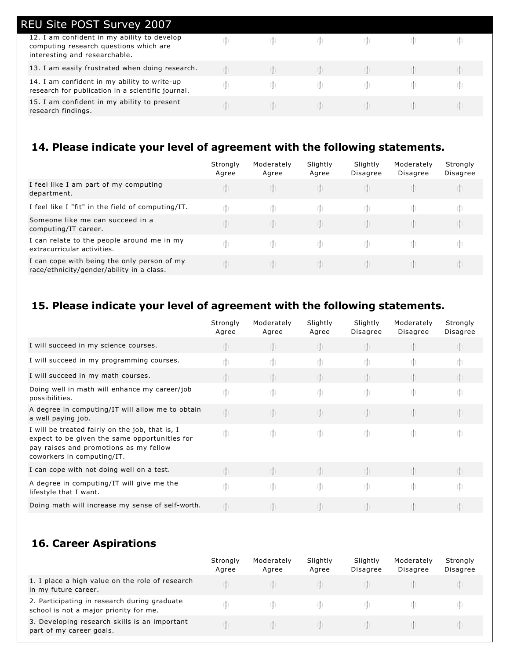| <b>REU Site POST Survey 2007</b>                                                                                       |  |  |  |
|------------------------------------------------------------------------------------------------------------------------|--|--|--|
| 12. I am confident in my ability to develop<br>computing research questions which are<br>interesting and researchable. |  |  |  |
| 13. I am easily frustrated when doing research.                                                                        |  |  |  |
| 14. I am confident in my ability to write-up<br>research for publication in a scientific journal.                      |  |  |  |
| 15. I am confident in my ability to present<br>research findings.                                                      |  |  |  |
|                                                                                                                        |  |  |  |

## **14. Please indicate your level of agreement with the following statements.**

|                                                                                          | Strongly<br>Agree | Moderately<br>Agree | Slightly<br>Agree | Slightly<br><b>Disagree</b> | Moderately<br>Disagree | Strongly<br>Disagree |
|------------------------------------------------------------------------------------------|-------------------|---------------------|-------------------|-----------------------------|------------------------|----------------------|
| I feel like I am part of my computing<br>department.                                     | m                 |                     | m                 |                             |                        |                      |
| I feel like I "fit" in the field of computing/IT.                                        |                   |                     |                   |                             |                        |                      |
| Someone like me can succeed in a<br>computing/IT career.                                 |                   |                     | m.                |                             |                        |                      |
| I can relate to the people around me in my<br>extracurricular activities.                |                   |                     | m.                |                             |                        |                      |
| I can cope with being the only person of my<br>race/ethnicity/gender/ability in a class. |                   |                     | m                 |                             |                        |                      |

## **15. Please indicate your level of agreement with the following statements.**

|                                                                                                                                                                          | Strongly<br>Agree | Moderately<br>Agree | Slightly<br>Agree | Slightly<br>Disagree | Moderately<br>Disagree | Strongly<br>Disagree |
|--------------------------------------------------------------------------------------------------------------------------------------------------------------------------|-------------------|---------------------|-------------------|----------------------|------------------------|----------------------|
| I will succeed in my science courses.                                                                                                                                    |                   |                     |                   |                      |                        |                      |
| I will succeed in my programming courses.                                                                                                                                | rh                |                     |                   |                      |                        |                      |
| I will succeed in my math courses.                                                                                                                                       |                   |                     |                   |                      |                        |                      |
| Doing well in math will enhance my career/job<br>possibilities.                                                                                                          | rh                | rh                  | m                 | m                    |                        |                      |
| A degree in computing/IT will allow me to obtain<br>a well paying job.                                                                                                   | rþ                |                     |                   | $\mathbb{I}$         |                        |                      |
| I will be treated fairly on the job, that is, I<br>expect to be given the same opportunities for<br>pay raises and promotions as my fellow<br>coworkers in computing/IT. | rh                | m                   | m                 | m                    |                        |                      |
| I can cope with not doing well on a test.                                                                                                                                |                   |                     |                   |                      |                        |                      |
| A degree in computing/IT will give me the<br>lifestyle that I want.                                                                                                      | rh                | m                   | m                 | m                    |                        |                      |
| Doing math will increase my sense of self-worth.                                                                                                                         |                   |                     |                   |                      |                        |                      |

## **16. Career Aspirations**

|                                                                                        | Strongly<br>Agree | Moderately<br>Agree | Slightly<br>Agree | Slightly<br><b>Disagree</b> | Moderately<br><b>Disagree</b> | Strongly<br><b>Disagree</b> |
|----------------------------------------------------------------------------------------|-------------------|---------------------|-------------------|-----------------------------|-------------------------------|-----------------------------|
| 1. I place a high value on the role of research<br>in my future career.                |                   |                     |                   |                             |                               |                             |
| 2. Participating in research during graduate<br>school is not a major priority for me. |                   |                     |                   |                             |                               |                             |
| 3. Developing research skills is an important<br>part of my career goals.              |                   |                     |                   |                             |                               |                             |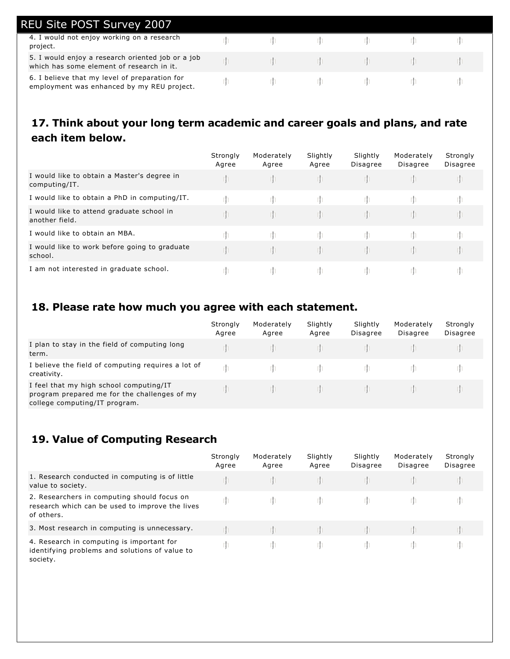| <b>REU Site POST Survey 2007</b>                                                               |  |  |  |
|------------------------------------------------------------------------------------------------|--|--|--|
| 4. I would not enjoy working on a research<br>project.                                         |  |  |  |
| 5. I would enjoy a research oriented job or a job<br>which has some element of research in it. |  |  |  |
| 6. I believe that my level of preparation for<br>employment was enhanced by my REU project.    |  |  |  |

## **17. Think about your long term academic and career goals and plans, and rate each item below.**

|                                                              | Strongly<br>Agree | Moderately<br>Agree | Slightly<br>Agree | Slightly<br>Disagree | Moderately<br><b>Disagree</b> | Strongly<br><b>Disagree</b> |
|--------------------------------------------------------------|-------------------|---------------------|-------------------|----------------------|-------------------------------|-----------------------------|
| I would like to obtain a Master's degree in<br>computing/IT. |                   |                     |                   |                      |                               |                             |
| I would like to obtain a PhD in computing/IT.                |                   |                     | rn                |                      |                               |                             |
| I would like to attend graduate school in<br>another field.  |                   |                     | rn.               |                      |                               |                             |
| I would like to obtain an MBA.                               |                   |                     |                   |                      |                               |                             |
| I would like to work before going to graduate<br>school.     |                   |                     | m                 |                      |                               |                             |
| I am not interested in graduate school.                      |                   |                     | m.                |                      |                               |                             |

# **18. Please rate how much you agree with each statement.**

|                                                                                                                          | Strongly<br>Agree | Moderately<br>Agree | Slightly<br>Agree | Slightly<br><b>Disagree</b> | Moderately<br><b>Disagree</b> | Strongly<br>Disagree |
|--------------------------------------------------------------------------------------------------------------------------|-------------------|---------------------|-------------------|-----------------------------|-------------------------------|----------------------|
| I plan to stay in the field of computing long<br>term.                                                                   |                   |                     |                   |                             |                               |                      |
| I believe the field of computing requires a lot of<br>creativity.                                                        |                   |                     |                   |                             |                               |                      |
| I feel that my high school computing/IT<br>program prepared me for the challenges of my<br>college computing/IT program. |                   |                     |                   |                             |                               |                      |

#### **19. Value of Computing Research**

|                                                                                                              | Strongly<br>Agree | Moderately<br>Agree | Slightly<br>Agree | Slightly<br>Disagree | Moderately<br><b>Disagree</b> | Strongly<br>Disagree |
|--------------------------------------------------------------------------------------------------------------|-------------------|---------------------|-------------------|----------------------|-------------------------------|----------------------|
| 1. Research conducted in computing is of little<br>value to society.                                         |                   |                     |                   |                      |                               |                      |
| 2. Researchers in computing should focus on<br>research which can be used to improve the lives<br>of others. |                   |                     |                   |                      |                               |                      |
| 3. Most research in computing is unnecessary.                                                                |                   |                     |                   |                      |                               |                      |
| 4. Research in computing is important for<br>identifying problems and solutions of value to<br>society.      |                   |                     |                   |                      |                               |                      |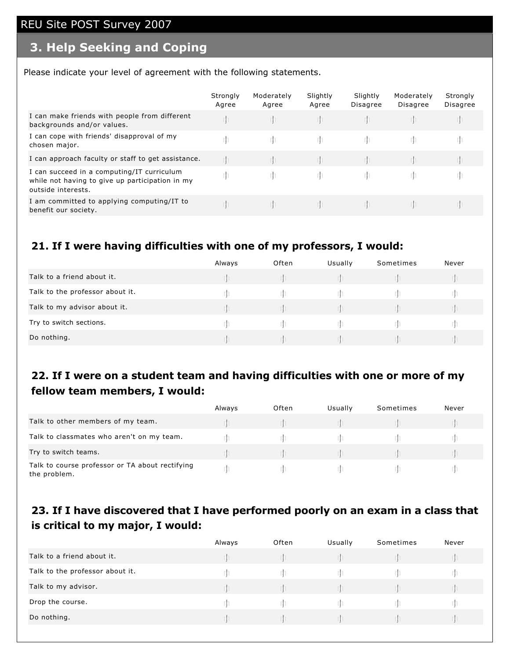# **3. Help Seeking and Coping**

Please indicate your level of agreement with the following statements.

|                                                                                                                     | Strongly<br>Agree | Moderately<br>Agree | Slightly<br>Agree | Slightly<br>Disagree | Moderately<br><b>Disagree</b> | Strongly<br><b>Disagree</b> |
|---------------------------------------------------------------------------------------------------------------------|-------------------|---------------------|-------------------|----------------------|-------------------------------|-----------------------------|
| I can make friends with people from different<br>backgrounds and/or values.                                         |                   |                     |                   |                      |                               |                             |
| I can cope with friends' disapproval of my<br>chosen major.                                                         |                   | rn.                 |                   |                      |                               |                             |
| I can approach faculty or staff to get assistance.                                                                  |                   |                     |                   |                      |                               |                             |
| I can succeed in a computing/IT curriculum<br>while not having to give up participation in my<br>outside interests. | rn                |                     |                   |                      |                               |                             |
| I am committed to applying computing/IT to<br>benefit our society.                                                  |                   |                     |                   |                      |                               |                             |

#### **21. If I were having difficulties with one of my professors, I would:**

|                                 | Always | Often | Usually | Sometimes | Never |
|---------------------------------|--------|-------|---------|-----------|-------|
| Talk to a friend about it.      |        |       |         |           |       |
| Talk to the professor about it. |        |       |         |           |       |
| Talk to my advisor about it.    |        |       |         |           |       |
| Try to switch sections.         |        |       |         |           |       |
| Do nothing.                     |        |       |         |           |       |

#### **22. If I were on a student team and having difficulties with one or more of my fellow team members, I would:**

|                                                                 | Always | Often | Usually | Sometimes | Never |
|-----------------------------------------------------------------|--------|-------|---------|-----------|-------|
| Talk to other members of my team.                               |        |       |         |           |       |
| Talk to classmates who aren't on my team.                       |        |       |         |           |       |
| Try to switch teams.                                            |        |       |         |           |       |
| Talk to course professor or TA about rectifying<br>the problem. |        |       |         |           |       |

## **23. If I have discovered that I have performed poorly on an exam in a class that is critical to my major, I would:**

|                                 | Always | Often | Usually | Sometimes | Never |
|---------------------------------|--------|-------|---------|-----------|-------|
| Talk to a friend about it.      |        |       |         |           |       |
| Talk to the professor about it. |        |       |         |           |       |
| Talk to my advisor.             |        |       |         |           |       |
| Drop the course.                |        |       |         |           |       |
| Do nothing.                     |        |       |         |           |       |
|                                 |        |       |         |           |       |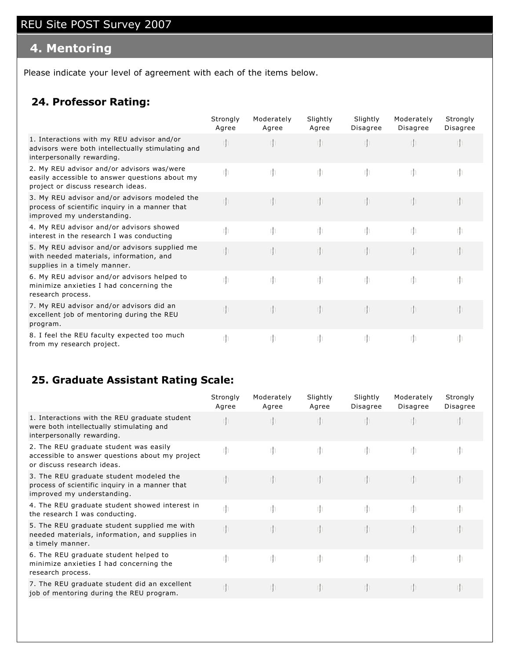# **4. Mentoring**

Please indicate your level of agreement with each of the items below.

#### **24. Professor Rating:**

|                                                                                                                                    | Strongly<br>Agree | Moderately<br>Agree | Slightly<br>Agree | Slightly<br>Disagree | Moderately<br>Disagree | Strongly<br>Disagree |
|------------------------------------------------------------------------------------------------------------------------------------|-------------------|---------------------|-------------------|----------------------|------------------------|----------------------|
| 1. Interactions with my REU advisor and/or<br>advisors were both intellectually stimulating and<br>interpersonally rewarding.      | Th <sub>1</sub>   | In.                 |                   | $\mathbb{I}$         | Iþ.                    |                      |
| 2. My REU advisor and/or advisors was/were<br>easily accessible to answer questions about my<br>project or discuss research ideas. | m                 | $\mathbb{I}$        | m                 | -rh                  | rh.                    | m                    |
| 3. My REU advisor and/or advisors modeled the<br>process of scientific inquiry in a manner that<br>improved my understanding.      | Th                | $\mathbb{I}$        | rh.               | -rh                  | nh                     | m                    |
| 4. My REU advisor and/or advisors showed<br>interest in the research I was conducting                                              | rh                | $\mathbb{I}$        | m                 | m                    | rh.                    | m                    |
| 5. My REU advisor and/or advisors supplied me<br>with needed materials, information, and<br>supplies in a timely manner.           | m                 | $\mathbb{I}$        | rh.               | $\mathbb{I}$         | m                      | m                    |
| 6. My REU advisor and/or advisors helped to<br>minimize anxieties I had concerning the<br>research process.                        | rh                | $\mathbb{I}$        | m                 | m                    | rh.                    | m                    |
| 7. My REU advisor and/or advisors did an<br>excellent job of mentoring during the REU<br>program.                                  | m                 | n                   | rh.               | $\mathbb{I}$         | Ih                     | m                    |
| 8. I feel the REU faculty expected too much<br>from my research project.                                                           | m                 | $r \nvert \nvert$   | m                 | m                    | m                      | m                    |

#### **25. Graduate Assistant Rating Scale:**

|                                                                                                                         | Strongly<br>Agree | Moderately<br>Agree | Slightly<br>Agree | Slightly<br>Disagree | Moderately<br>Disagree | Strongly<br>Disagree |
|-------------------------------------------------------------------------------------------------------------------------|-------------------|---------------------|-------------------|----------------------|------------------------|----------------------|
| 1. Interactions with the REU graduate student<br>were both intellectually stimulating and<br>interpersonally rewarding. |                   |                     |                   |                      |                        |                      |
| 2. The REU graduate student was easily<br>accessible to answer questions about my project<br>or discuss research ideas. | m                 | m                   | -rh               | m                    | m                      | -rh                  |
| 3. The REU graduate student modeled the<br>process of scientific inquiry in a manner that<br>improved my understanding. |                   | rh                  | ih.               |                      |                        |                      |
| 4. The REU graduate student showed interest in<br>the research I was conducting.                                        | m                 | <u>m</u>            | -rh               | m                    | -rh                    | -rn                  |
| 5. The REU graduate student supplied me with<br>needed materials, information, and supplies in<br>a timely manner.      | rh                | m                   | Ih.               |                      |                        |                      |
| 6. The REU graduate student helped to<br>minimize anxieties I had concerning the<br>research process.                   | m                 | m                   | In.               | m                    | m                      |                      |
| 7. The REU graduate student did an excellent<br>job of mentoring during the REU program.                                |                   | rh                  | Th.               | rh.                  | rh                     |                      |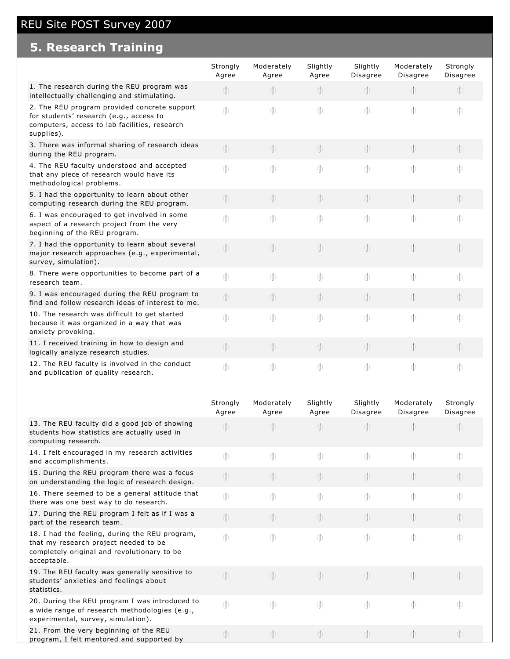# **5. Research Training**

|                                                                                                                                                        | Strongly<br>Agree | Moderately<br>Agree | Slightly<br>Agree | Slightly<br>Disagree | Moderately<br>Disagree | Strongly<br><b>Disagree</b> |
|--------------------------------------------------------------------------------------------------------------------------------------------------------|-------------------|---------------------|-------------------|----------------------|------------------------|-----------------------------|
| 1. The research during the REU program was<br>intellectually challenging and stimulating.                                                              | $\mathbb{I}$      | m                   | m                 | rh                   | m                      | -rh                         |
| 2. The REU program provided concrete support<br>for students' research (e.g., access to<br>computers, access to lab facilities, research<br>supplies). | m                 | m                   | m                 | m                    | m                      | m                           |
| 3. There was informal sharing of research ideas<br>during the REU program.                                                                             | m                 | m                   | m                 | rh                   | m                      | m                           |
| 4. The REU faculty understood and accepted<br>that any piece of research would have its<br>methodological problems.                                    | m                 | m                   | m                 | m                    | m                      | -rh                         |
| 5. I had the opportunity to learn about other<br>computing research during the REU program.                                                            | rh                | $\mathbb{I}$        | m                 | m                    | $\mathbb{I}$           | m                           |
| 6. I was encouraged to get involved in some<br>aspect of a research project from the very<br>beginning of the REU program.                             | m                 | m                   | m                 | m                    | m                      | m                           |
| 7. I had the opportunity to learn about several<br>major research approaches (e.g., experimental,<br>survey, simulation).                              | rh                | $\mathbb{I}$        | m                 | rh                   | m                      | m                           |
| 8. There were opportunities to become part of a<br>research team.                                                                                      | m                 | m                   | m                 | m                    | m                      | m                           |
| 9. I was encouraged during the REU program to<br>find and follow research ideas of interest to me.                                                     | rh                | m                   | $\oplus$          | rh                   | m                      | <b>rh</b>                   |
| 10. The research was difficult to get started<br>because it was organized in a way that was<br>anxiety provoking.                                      | m                 | m                   | m                 | m                    | m                      | m                           |
| 11. I received training in how to design and<br>logically analyze research studies.                                                                    | rh                | $\mathbb{I}$        | m                 | m                    | m                      | m                           |
| 12. The REU faculty is involved in the conduct<br>and publication of quality research.                                                                 | m                 | m                   | m                 | m                    | m                      | m                           |

|                                                                                                                                                       | Strongly<br>Agree | Moderately<br>Agree | Slightly<br>Agree | Slightly<br>Disagree | Moderately<br>Disagree | Strongly<br>Disagree |
|-------------------------------------------------------------------------------------------------------------------------------------------------------|-------------------|---------------------|-------------------|----------------------|------------------------|----------------------|
| 13. The REU faculty did a good job of showing<br>students how statistics are actually used in<br>computing research.                                  | rh                |                     | $\mathbf{r}$      |                      | rh.                    |                      |
| 14. I felt encouraged in my research activities<br>and accomplishments.                                                                               | m                 | m                   | m                 | m                    | m                      | m                    |
| 15. During the REU program there was a focus<br>on understanding the logic of research design.                                                        | rþ                | m                   | rh.               | rh                   | m                      |                      |
| 16. There seemed to be a general attitude that<br>there was one best way to do research.                                                              | m                 | m                   | m                 | m                    | m                      | m                    |
| 17. During the REU program I felt as if I was a<br>part of the research team.                                                                         | m                 | m                   | $\mathbb{I}$      | $\mathbb{I}$         | $\mathbb{I}$           |                      |
| 18. I had the feeling, during the REU program,<br>that my research project needed to be<br>completely original and revolutionary to be<br>acceptable. | m                 | m                   | m                 | m                    | m                      |                      |
| 19. The REU faculty was generally sensitive to<br>students' anxieties and feelings about<br>statistics.                                               | rh                | m                   | $\mathbb{I}$      | m                    | m                      |                      |
| 20. During the REU program I was introduced to<br>a wide range of research methodologies (e.g.,<br>experimental, survey, simulation).                 | m                 | m                   | m                 | m                    | m                      |                      |
| 21. From the very beginning of the REU<br>program, I felt mentored and supported by                                                                   |                   | Th                  | rh.               |                      | m                      |                      |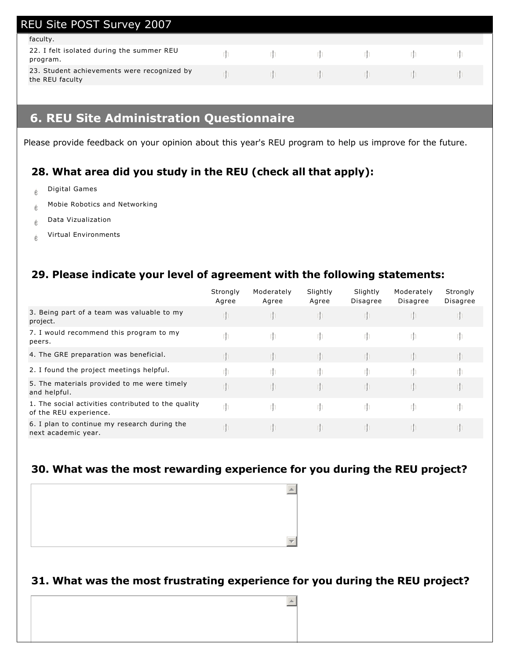| <b>REU Site POST Survey 2007</b>                               |                                                                                                                                                                                                                                      |  |  |
|----------------------------------------------------------------|--------------------------------------------------------------------------------------------------------------------------------------------------------------------------------------------------------------------------------------|--|--|
| faculty.                                                       |                                                                                                                                                                                                                                      |  |  |
| 22. I felt isolated during the summer REU<br>program.          |                                                                                                                                                                                                                                      |  |  |
| 23. Student achievements were recognized by<br>the REU faculty | <u>in the second the second the second the second the second the second the second the second the second the second the second the second the second the second the second the second the second the second the second the secon</u> |  |  |

## **6. REU Site Administration Questionnaire**

Please provide feedback on your opinion about this year's REU program to help us improve for the future.

## **28. What area did you study in the REU (check all that apply):**

- $e^{\theta}$  Digital Games
- $\phi$  Mobie Robotics and Networking
- $e^{\theta}$  Data Vizualization
- $\phi$  Virtual Environments

#### **29. Please indicate your level of agreement with the following statements:**

|                                                                               | Strongly<br>Agree | Moderately<br>Agree | Slightly<br>Agree | Slightly<br><b>Disagree</b> | Moderately<br>Disagree | Strongly<br>Disagree |
|-------------------------------------------------------------------------------|-------------------|---------------------|-------------------|-----------------------------|------------------------|----------------------|
| 3. Being part of a team was valuable to my<br>project.                        |                   |                     |                   |                             |                        |                      |
| 7. I would recommend this program to my<br>peers.                             | rh                | m                   | -rh               | m.                          | m                      |                      |
| 4. The GRE preparation was beneficial.                                        |                   |                     |                   |                             |                        |                      |
| 2. I found the project meetings helpful.                                      |                   |                     |                   |                             |                        |                      |
| 5. The materials provided to me were timely<br>and helpful.                   |                   |                     |                   |                             |                        |                      |
| 1. The social activities contributed to the quality<br>of the REU experience. |                   | m                   | -rh               | m.                          | rh.                    |                      |
| 6. I plan to continue my research during the<br>next academic year.           |                   |                     | m                 |                             |                        |                      |

#### **30. What was the most rewarding experience for you during the REU project?**



#### **31. What was the most frustrating experience for you during the REU project?**

 $\blacktriangle$ 

 $\sim$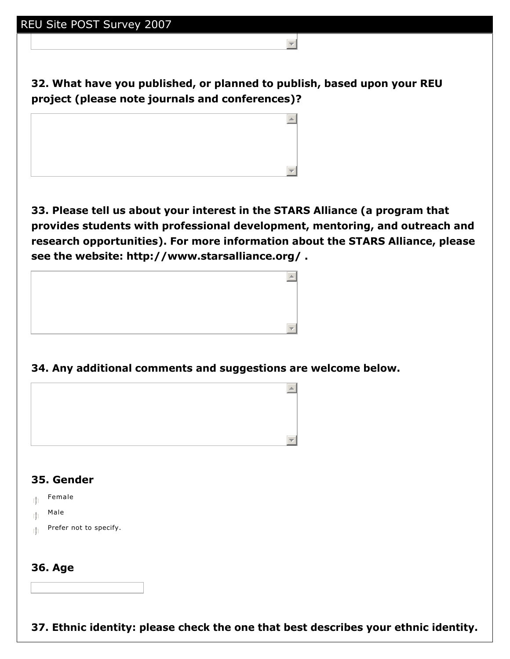**32. What have you published, or planned to publish, based upon your REU project (please note journals and conferences)?**

 $\equiv$ 



**33. Please tell us about your interest in the STARS Alliance (a program that provides students with professional development, mentoring, and outreach and research opportunities). For more information about the STARS Alliance, please see the website: http://www.starsalliance.org/ .**



**34. Any additional comments and suggestions are welcome below.**



## **35. Gender**

- $\mathbb{m}$  Female
- $m$  Male
- $\mathbb{F}$  Prefer not to specify.

#### **36. Age**

**37. Ethnic identity: please check the one that best describes your ethnic identity.**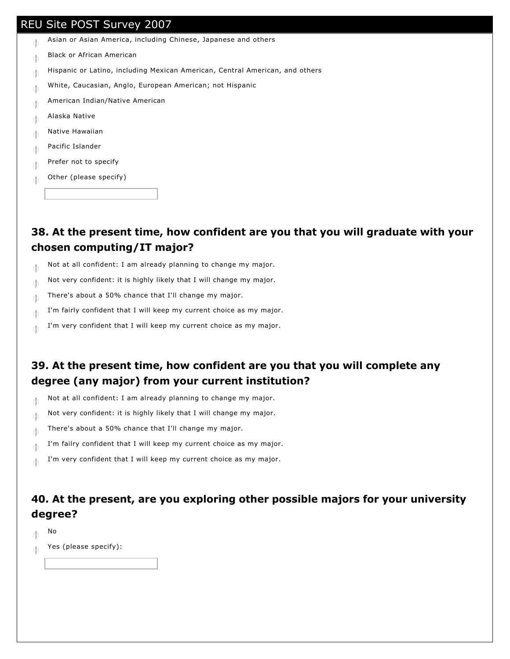- $\mathbb{R}$  Asian or Asian America, including Chinese, Japanese and others
- $m_{\parallel}$  Black or African American
- $\mathbb{R}$  Hispanic or Latino, including Mexican American, Central American, and others
- $\parallel$  White, Caucasian, Anglo, European American; not Hispanic
- $\mathbb{E}$  American Indian/Native American
- $\mathbb{E}$  Alaska Native
- $m_{\parallel}$  Native Hawaiian
- $\mathbb{E}$  Pacific Islander
- $\mathbb{R}^n$  Prefer not to specify
- $\mathbb{R}$  Other (please specify)

**38. At the present time, how confident are you that you will graduate with your chosen computing/IT major?** 

- $\mathbb{R}$  Not at all confident: I am already planning to change my major.
- $\mathbb{R}$  Not very confident: it is highly likely that I will change my major.
- $\mathbb{R}$  There's about a 50% chance that I'll change my major.
- I'm fairly confident that I will keep my current choice as my major.
- $\mathbb{I}$  I'm very confident that I will keep my current choice as my major.

#### **39. At the present time, how confident are you that you will complete any degree (any major) from your current institution?**

- $\mathbb{R}$  Not at all confident: I am already planning to change my major.
- $\mathbb{R}$  Not very confident: it is highly likely that I will change my major.
- $\mathbb{R}$  There's about a 50% chance that I'll change my major.
- $\mathbb{I}$  I'm failry confident that I will keep my current choice as my major.
- $\mathbb{I}$  I'm very confident that I will keep my current choice as my major.

#### **40. At the present, are you exploring other possible majors for your university degree?**

- $\mathbb{R}^n$  No
- $\mathbb{M}$  Yes (please specify):